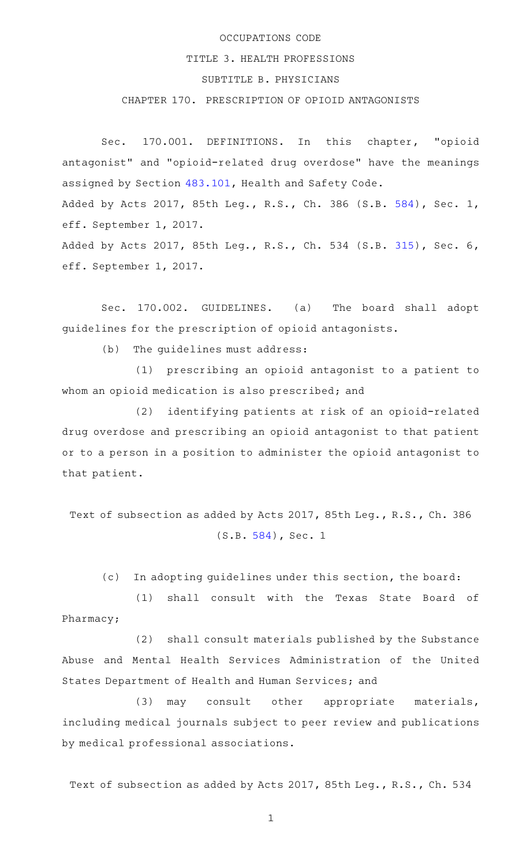## OCCUPATIONS CODE

## TITLE 3. HEALTH PROFESSIONS

## SUBTITLE B. PHYSICIANS

## CHAPTER 170. PRESCRIPTION OF OPIOID ANTAGONISTS

Sec. 170.001. DEFINITIONS. In this chapter, "opioid antagonist" and "opioid-related drug overdose" have the meanings assigned by Section [483.101](http://www.statutes.legis.state.tx.us/GetStatute.aspx?Code=HS&Value=483.101), Health and Safety Code. Added by Acts 2017, 85th Leg., R.S., Ch. 386 (S.B. [584](http://www.legis.state.tx.us/tlodocs/85R/billtext/html/SB00584F.HTM)), Sec. 1, eff. September 1, 2017. Added by Acts 2017, 85th Leg., R.S., Ch. 534 (S.B. [315](http://www.legis.state.tx.us/tlodocs/85R/billtext/html/SB00315F.HTM)), Sec. 6, eff. September 1, 2017.

Sec. 170.002. GUIDELINES. (a) The board shall adopt guidelines for the prescription of opioid antagonists.

(b) The guidelines must address:

(1) prescribing an opioid antagonist to a patient to whom an opioid medication is also prescribed; and

(2) identifying patients at risk of an opioid-related drug overdose and prescribing an opioid antagonist to that patient or to a person in a position to administer the opioid antagonist to that patient.

Text of subsection as added by Acts 2017, 85th Leg., R.S., Ch. 386 (S.B. [584](http://www.legis.state.tx.us/tlodocs/85R/billtext/html/SB00584F.HTM)), Sec. 1

(c) In adopting guidelines under this section, the board:

(1) shall consult with the Texas State Board of Pharmacy;

(2) shall consult materials published by the Substance Abuse and Mental Health Services Administration of the United States Department of Health and Human Services; and

(3) may consult other appropriate materials, including medical journals subject to peer review and publications by medical professional associations.

Text of subsection as added by Acts 2017, 85th Leg., R.S., Ch. 534

1